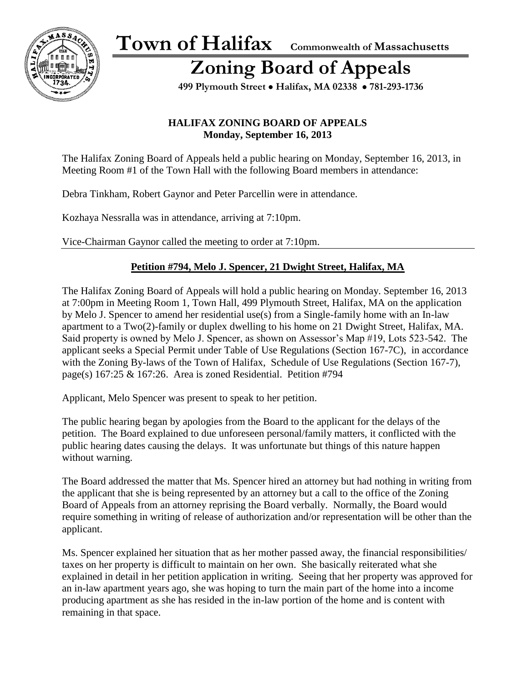

## **Zoning Board of Appeals**

 **499 Plymouth Street** • **Halifax, MA 02338** • **781-293-1736**

#### **HALIFAX ZONING BOARD OF APPEALS Monday, September 16, 2013**

The Halifax Zoning Board of Appeals held a public hearing on Monday, September 16, 2013, in Meeting Room #1 of the Town Hall with the following Board members in attendance:

Debra Tinkham, Robert Gaynor and Peter Parcellin were in attendance.

Kozhaya Nessralla was in attendance, arriving at 7:10pm.

Vice-Chairman Gaynor called the meeting to order at 7:10pm.

### **Petition #794, Melo J. Spencer, 21 Dwight Street, Halifax, MA**

The Halifax Zoning Board of Appeals will hold a public hearing on Monday. September 16, 2013 at 7:00pm in Meeting Room 1, Town Hall, 499 Plymouth Street, Halifax, MA on the application by Melo J. Spencer to amend her residential use(s) from a Single-family home with an In-law apartment to a Two(2)-family or duplex dwelling to his home on 21 Dwight Street, Halifax, MA. Said property is owned by Melo J. Spencer, as shown on Assessor's Map #19, Lots 523-542. The applicant seeks a Special Permit under Table of Use Regulations (Section 167-7C), in accordance with the Zoning By-laws of the Town of Halifax, Schedule of Use Regulations (Section 167-7), page(s) 167:25 & 167:26. Area is zoned Residential. Petition #794

Applicant, Melo Spencer was present to speak to her petition.

The public hearing began by apologies from the Board to the applicant for the delays of the petition. The Board explained to due unforeseen personal/family matters, it conflicted with the public hearing dates causing the delays. It was unfortunate but things of this nature happen without warning.

The Board addressed the matter that Ms. Spencer hired an attorney but had nothing in writing from the applicant that she is being represented by an attorney but a call to the office of the Zoning Board of Appeals from an attorney reprising the Board verbally. Normally, the Board would require something in writing of release of authorization and/or representation will be other than the applicant.

Ms. Spencer explained her situation that as her mother passed away, the financial responsibilities/ taxes on her property is difficult to maintain on her own. She basically reiterated what she explained in detail in her petition application in writing. Seeing that her property was approved for an in-law apartment years ago, she was hoping to turn the main part of the home into a income producing apartment as she has resided in the in-law portion of the home and is content with remaining in that space.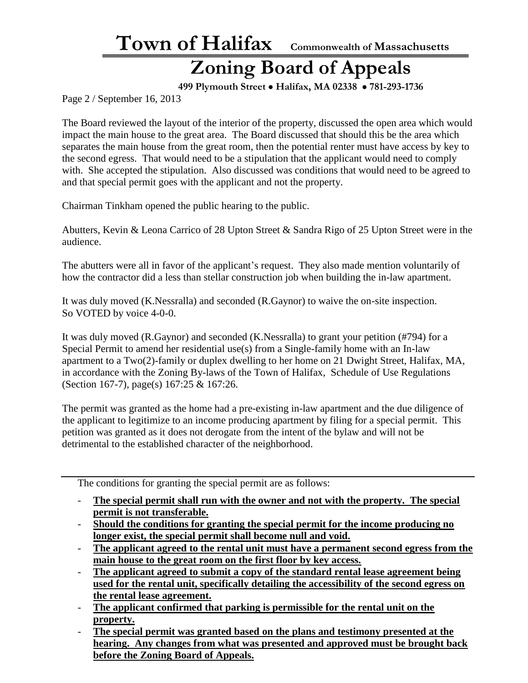**Town of Halifax Commonwealth of Massachusetts**

## **Zoning Board of Appeals**

 **499 Plymouth Street** • **Halifax, MA 02338** • **781-293-1736**

Page 2 / September 16, 2013

The Board reviewed the layout of the interior of the property, discussed the open area which would impact the main house to the great area. The Board discussed that should this be the area which separates the main house from the great room, then the potential renter must have access by key to the second egress. That would need to be a stipulation that the applicant would need to comply with. She accepted the stipulation. Also discussed was conditions that would need to be agreed to and that special permit goes with the applicant and not the property.

Chairman Tinkham opened the public hearing to the public.

Abutters, Kevin & Leona Carrico of 28 Upton Street & Sandra Rigo of 25 Upton Street were in the audience.

The abutters were all in favor of the applicant's request. They also made mention voluntarily of how the contractor did a less than stellar construction job when building the in-law apartment.

It was duly moved (K.Nessralla) and seconded (R.Gaynor) to waive the on-site inspection. So VOTED by voice 4-0-0.

It was duly moved (R.Gaynor) and seconded (K.Nessralla) to grant your petition (#794) for a Special Permit to amend her residential use(s) from a Single-family home with an In-law apartment to a Two(2)-family or duplex dwelling to her home on 21 Dwight Street, Halifax, MA, in accordance with the Zoning By-laws of the Town of Halifax, Schedule of Use Regulations (Section 167-7), page(s) 167:25 & 167:26.

The permit was granted as the home had a pre-existing in-law apartment and the due diligence of the applicant to legitimize to an income producing apartment by filing for a special permit. This petition was granted as it does not derogate from the intent of the bylaw and will not be detrimental to the established character of the neighborhood.

The conditions for granting the special permit are as follows:

- The special permit shall run with the owner and not with the property. The special **permit is not transferable.**
- **Should the conditions for granting the special permit for the income producing no longer exist, the special permit shall become null and void.**
- **The applicant agreed to the rental unit must have a permanent second egress from the main house to the great room on the first floor by key access.**
- **The applicant agreed to submit a copy of the standard rental lease agreement being used for the rental unit, specifically detailing the accessibility of the second egress on the rental lease agreement.**
- **The applicant confirmed that parking is permissible for the rental unit on the property.**
- **The special permit was granted based on the plans and testimony presented at the hearing. Any changes from what was presented and approved must be brought back before the Zoning Board of Appeals.**